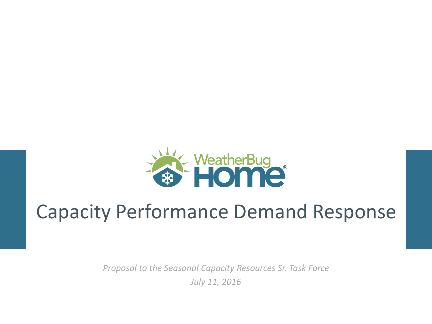

# Capacity Performance Demand Response

*Proposal to the Seasonal Capacity Resources Sr. Task Force July 11, 2016*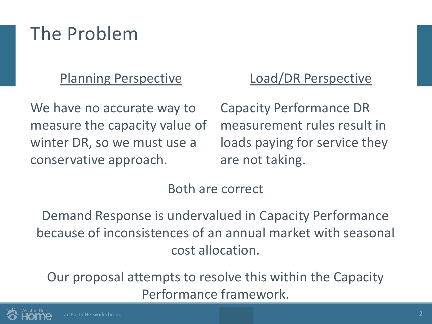#### The Problem

#### Planning Perspective

We have no accurate way to measure the capacity value of winter DR, so we must use a conservative approach.

#### Load/DR Perspective

Capacity Performance DR measurement rules result in loads paying for service they are not taking.

#### Both are correct

Demand Response is undervalued in Capacity Performance because of inconsistences of an annual market with seasonal cost allocation.

Our proposal attempts to resolve this within the Capacity Performance framework.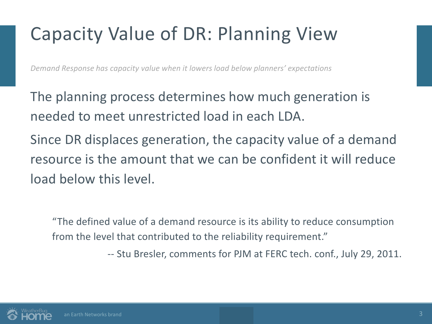# Capacity Value of DR: Planning View

*Demand Response has capacity value when it lowers load below planners' expectations*

The planning process determines how much generation is needed to meet unrestricted load in each LDA.

Since DR displaces generation, the capacity value of a demand resource is the amount that we can be confident it will reduce load below this level.

"The defined value of a demand resource is its ability to reduce consumption from the level that contributed to the reliability requirement."

-- Stu Bresler, comments for PJM at FERC tech. conf., July 29, 2011.

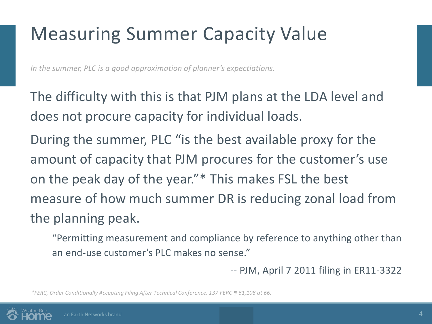# Measuring Summer Capacity Value

*In the summer, PLC is a good approximation of planner's expectiations.*

The difficulty with this is that PJM plans at the LDA level and does not procure capacity for individual loads.

During the summer, PLC "is the best available proxy for the amount of capacity that PJM procures for the customer's use on the peak day of the year."\* This makes FSL the best measure of how much summer DR is reducing zonal load from the planning peak.

"Permitting measurement and compliance by reference to anything other than an end-use customer's PLC makes no sense."

-- PJM, April 7 2011 filing in ER11-3322

*\*FERC, Order Conditionally Accepting Filing After Technical Conference. 137 FERC ¶ 61,108 at 66.*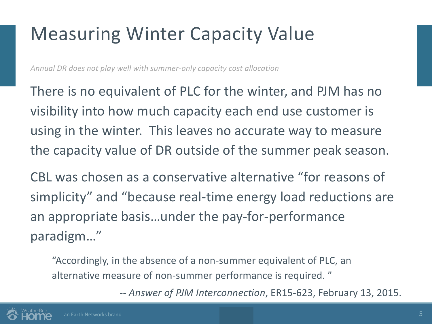#### Measuring Winter Capacity Value

*Annual DR does not play well with summer-only capacity cost allocation*

There is no equivalent of PLC for the winter, and PJM has no visibility into how much capacity each end use customer is using in the winter. This leaves no accurate way to measure the capacity value of DR outside of the summer peak season.

CBL was chosen as a conservative alternative "for reasons of simplicity" and "because real-time energy load reductions are an appropriate basis…under the pay-for-performance paradigm…"

"Accordingly, in the absence of a non-summer equivalent of PLC, an alternative measure of non-summer performance is required. "

-- *Answer of PJM Interconnection*, ER15-623, February 13, 2015.

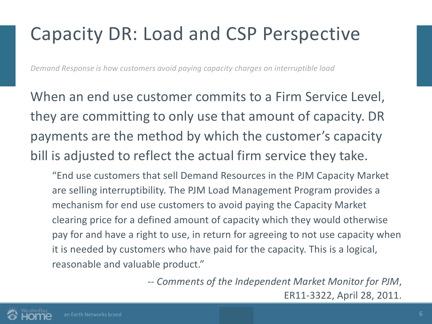### Capacity DR: Load and CSP Perspective

*Demand Response is how customers avoid paying capacity charges on interruptible load*

When an end use customer commits to a Firm Service Level, they are committing to only use that amount of capacity. DR payments are the method by which the customer's capacity bill is adjusted to reflect the actual firm service they take.

"End use customers that sell Demand Resources in the PJM Capacity Market are selling interruptibility. The PJM Load Management Program provides a mechanism for end use customers to avoid paying the Capacity Market clearing price for a defined amount of capacity which they would otherwise pay for and have a right to use, in return for agreeing to not use capacity when it is needed by customers who have paid for the capacity. This is a logical, reasonable and valuable product."

> -- *Comments of the Independent Market Monitor for PJM*, ER11-3322, April 28, 2011.

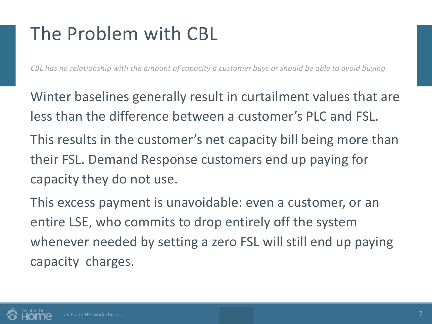## The Problem with CBL

*CBL has no relationship with the amount of capacity a customer buys or should be able to avoid buying.*

Winter baselines generally result in curtailment values that are less than the difference between a customer's PLC and FSL. This results in the customer's net capacity bill being more than their FSL. Demand Response customers end up paying for capacity they do not use.

This excess payment is unavoidable: even a customer, or an entire LSE, who commits to drop entirely off the system whenever needed by setting a zero FSL will still end up paying capacity charges.

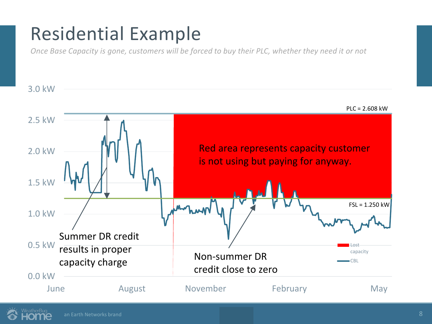#### Residential Example

*Once Base Capacity is gone, customers will be forced to buy their PLC, whether they need it or not*

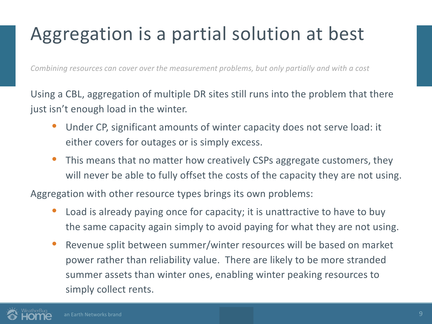# Aggregation is a partial solution at best

*Combining resources can cover over the measurement problems, but only partially and with a cost*

Using a CBL, aggregation of multiple DR sites still runs into the problem that there just isn't enough load in the winter.

- Under CP, significant amounts of winter capacity does not serve load: it either covers for outages or is simply excess.
- This means that no matter how creatively CSPs aggregate customers, they will never be able to fully offset the costs of the capacity they are not using.

Aggregation with other resource types brings its own problems:

- Load is already paying once for capacity; it is unattractive to have to buy the same capacity again simply to avoid paying for what they are not using.
- Revenue split between summer/winter resources will be based on market power rather than reliability value. There are likely to be more stranded summer assets than winter ones, enabling winter peaking resources to simply collect rents.

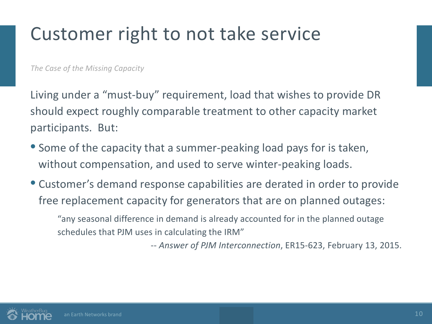#### Customer right to not take service

*The Case of the Missing Capacity*

Living under a "must-buy" requirement, load that wishes to provide DR should expect roughly comparable treatment to other capacity market participants. But:

- Some of the capacity that a summer-peaking load pays for is taken, without compensation, and used to serve winter-peaking loads.
- Customer's demand response capabilities are derated in order to provide free replacement capacity for generators that are on planned outages:

"any seasonal difference in demand is already accounted for in the planned outage schedules that PJM uses in calculating the IRM"

-- *Answer of PJM Interconnection*, ER15-623, February 13, 2015.

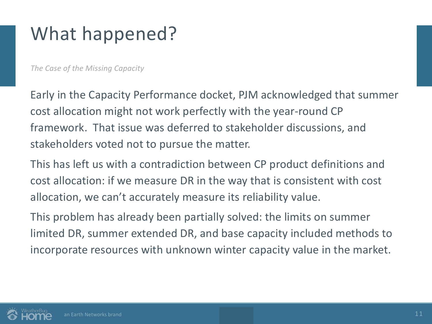## What happened?

*The Case of the Missing Capacity*

Early in the Capacity Performance docket, PJM acknowledged that summer cost allocation might not work perfectly with the year-round CP framework. That issue was deferred to stakeholder discussions, and stakeholders voted not to pursue the matter.

This has left us with a contradiction between CP product definitions and cost allocation: if we measure DR in the way that is consistent with cost allocation, we can't accurately measure its reliability value.

This problem has already been partially solved: the limits on summer limited DR, summer extended DR, and base capacity included methods to incorporate resources with unknown winter capacity value in the market.

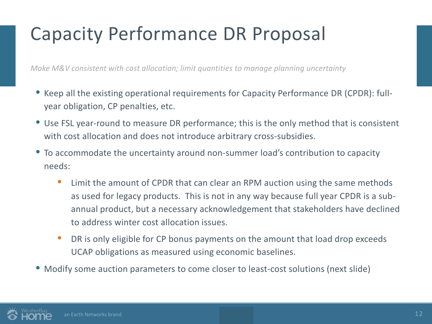# Capacity Performance DR Proposal

*Make M&V consistent with cost allocation; limit quantities to manage planning uncertainty*

- Keep all the existing operational requirements for Capacity Performance DR (CPDR): fullyear obligation, CP penalties, etc.
- Use FSL year-round to measure DR performance; this is the only method that is consistent with cost allocation and does not introduce arbitrary cross-subsidies.
- To accommodate the uncertainty around non-summer load's contribution to capacity needs:
	- Limit the amount of CPDR that can clear an RPM auction using the same methods as used for legacy products. This is not in any way because full year CPDR is a subannual product, but a necessary acknowledgement that stakeholders have declined to address winter cost allocation issues.
	- DR is only eligible for CP bonus payments on the amount that load drop exceeds UCAP obligations as measured using economic baselines.
- Modify some auction parameters to come closer to least-cost solutions (next slide)

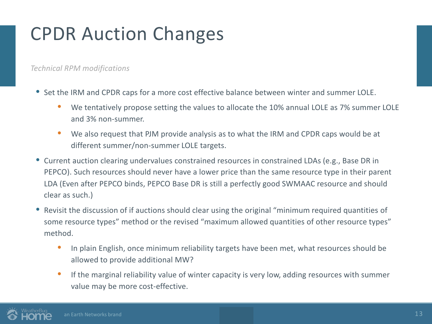## CPDR Auction Changes

*Technical RPM modifications*

- Set the IRM and CPDR caps for a more cost effective balance between winter and summer LOLE.
	- We tentatively propose setting the values to allocate the 10% annual LOLE as 7% summer LOLE and 3% non-summer.
	- We also request that PJM provide analysis as to what the IRM and CPDR caps would be at different summer/non-summer LOLE targets.
- Current auction clearing undervalues constrained resources in constrained LDAs (e.g., Base DR in PEPCO). Such resources should never have a lower price than the same resource type in their parent LDA (Even after PEPCO binds, PEPCO Base DR is still a perfectly good SWMAAC resource and should clear as such.)
- Revisit the discussion of if auctions should clear using the original "minimum required quantities of some resource types" method or the revised "maximum allowed quantities of other resource types" method.
	- In plain English, once minimum reliability targets have been met, what resources should be allowed to provide additional MW?
	- If the marginal reliability value of winter capacity is very low, adding resources with summer value may be more cost-effective.